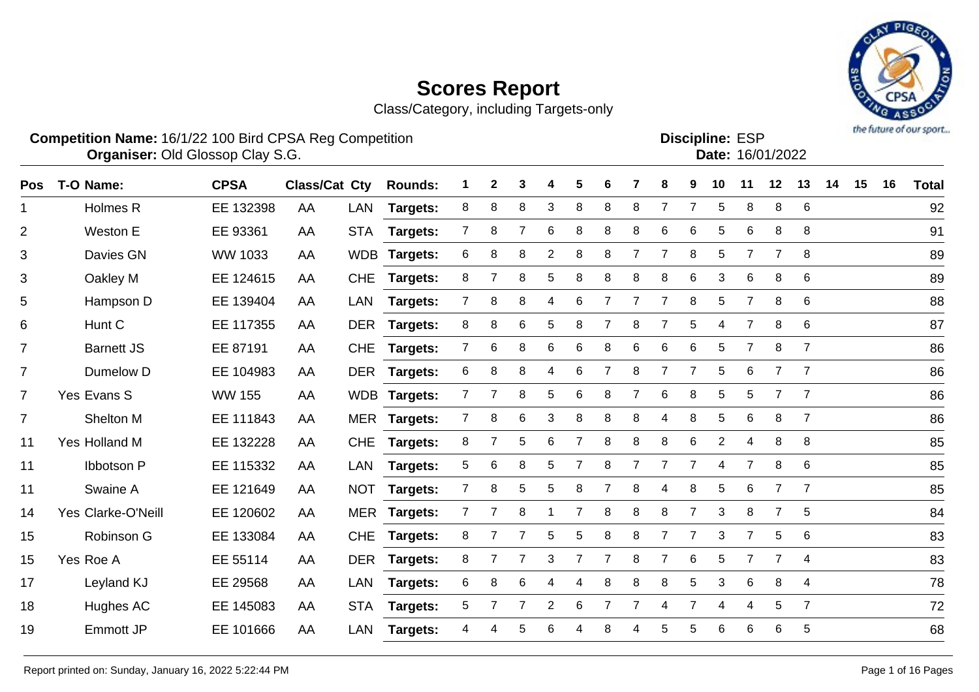Class/Category, including Targets-only



#### **Competition Name:** 16/1/22 100 Bird CPSA Reg Competition **EXP COMPETITION COMPETITION** Discipline: ESP **Organiser:** Old Glossop Clay S.G. 16/01/2022

Discipline: FSP

|                      | Date: 16/01/2022 |
|----------------------|------------------|
| <b>эсірініе.</b> Еәг |                  |

| <b>Pos</b>     | T-O Name:          | <b>CPSA</b>    | <b>Class/Cat Cty</b> |            | <b>Rounds:</b>  |                | 2              | 3              |                | 5 | 6 |                | 8              | 9              | 10             | 11             | 12             | 13             | 14 | 15 | 16 | <b>Total</b> |
|----------------|--------------------|----------------|----------------------|------------|-----------------|----------------|----------------|----------------|----------------|---|---|----------------|----------------|----------------|----------------|----------------|----------------|----------------|----|----|----|--------------|
| $\mathbf 1$    | Holmes R           | EE 132398      | AA                   | LAN        | Targets:        | 8              | 8              | 8              | 3              | 8 | 8 | 8              | $\overline{7}$ | 7              | 5              | 8              | 8              | 6              |    |    |    | 92           |
| $\overline{2}$ | Weston E           | EE 93361       | AA                   | <b>STA</b> | Targets:        | $\overline{7}$ | 8              | $\overline{7}$ | 6              | 8 | 8 | 8              | $\,6$          | 6              | 5              | 6              | 8              | 8              |    |    |    | 91           |
| 3              | Davies GN          | <b>WW 1033</b> | AA                   | <b>WDB</b> | Targets:        | 6              | 8              | 8              | 2              | 8 | 8 | 7              | 7              | 8              | 5              | 7              |                | 8              |    |    |    | 89           |
| 3              | Oakley M           | EE 124615      | AA                   | <b>CHE</b> | Targets:        | 8              |                | 8              | 5              | 8 | 8 | 8              | 8              | 6              | 3              | 6              | 8              | 6              |    |    |    | 89           |
| 5              | Hampson D          | EE 139404      | AA                   | LAN        | Targets:        | $7^{\circ}$    | 8              | 8              | 4              | 6 | 7 | $\overline{7}$ | $\overline{7}$ | 8              | 5              | $\overline{7}$ | 8              | 6              |    |    |    | 88           |
| 6              | Hunt C             | EE 117355      | AA                   |            | DER Targets:    | 8              | 8              | 6              | 5              | 8 | 7 | 8              | $\overline{7}$ | 5              | $\overline{4}$ | $\overline{7}$ | 8              | 6              |    |    |    | 87           |
| $\overline{7}$ | <b>Barnett JS</b>  | EE 87191       | AA                   | <b>CHE</b> | <b>Targets:</b> | $\overline{7}$ | 6              | 8              | 6              | 6 | 8 | 6              | 6              | 6              | 5              | $\overline{7}$ | 8              | $\overline{7}$ |    |    |    | 86           |
| $\overline{7}$ | Dumelow D          | EE 104983      | AA                   | <b>DER</b> | <b>Targets:</b> | 6              | 8              | 8              | 4              | 6 | 7 | 8              | $\overline{7}$ | 7              | 5              | 6              | $\overline{7}$ | $\overline{7}$ |    |    |    | 86           |
| $\overline{7}$ | Yes Evans S        | <b>WW 155</b>  | AA                   |            | WDB Targets:    | $7^{\circ}$    | 7              | 8              | 5              | 6 | 8 | $\overline{7}$ | 6              | 8              | 5              | 5              | $\overline{7}$ | $\overline{7}$ |    |    |    | 86           |
| $\overline{7}$ | Shelton M          | EE 111843      | AA                   |            | MER Targets:    | $\overline{7}$ | 8              | 6              | 3              | 8 | 8 | 8              | 4              | 8              | 5              | 6              | 8              | $\overline{7}$ |    |    |    | 86           |
| 11             | Yes Holland M      | EE 132228      | AA                   | <b>CHE</b> | Targets:        | 8              |                | 5              | 6              | 7 | 8 | 8              | 8              | 6              | $\overline{2}$ | 4              | 8              | 8              |    |    |    | 85           |
| 11             | <b>Ibbotson P</b>  | EE 115332      | AA                   | <b>LAN</b> | Targets:        | 5              | 6              | 8              | 5              | 7 | 8 | $\overline{7}$ | $\overline{7}$ | 7              | 4              | $\overline{7}$ | 8              | 6              |    |    |    | 85           |
| 11             | Swaine A           | EE 121649      | AA                   | <b>NOT</b> | Targets:        | 7              | 8              | $\sqrt{5}$     | 5              | 8 |   | 8              | 4              | 8              | 5              | 6              | 7              | $\overline{7}$ |    |    |    | 85           |
| 14             | Yes Clarke-O'Neill | EE 120602      | AA                   |            | MER Targets:    | $\overline{7}$ | $\overline{7}$ | 8              | -1             | 7 | 8 | 8              | 8              | $\overline{7}$ | 3              | 8              | $\overline{7}$ | 5              |    |    |    | 84           |
| 15             | Robinson G         | EE 133084      | AA                   | <b>CHE</b> | <b>Targets:</b> | 8              | $\overline{7}$ | $\overline{7}$ | 5              | 5 | 8 | 8              | $\overline{7}$ | $\overline{7}$ | 3              | $\overline{7}$ | 5              | 6              |    |    |    | 83           |
| 15             | Yes Roe A          | EE 55114       | AA                   | <b>DER</b> | <b>Targets:</b> | 8              |                | $\overline{7}$ | 3              | 7 | 7 | 8              | $\overline{7}$ | 6              | 5              | $\overline{7}$ | $\overline{7}$ | $\overline{4}$ |    |    |    | 83           |
| 17             | Leyland KJ         | EE 29568       | AA                   | <b>LAN</b> | <b>Targets:</b> | 6              | 8              | 6              | 4              | 4 | 8 | 8              | 8              | 5              | 3              | 6              | 8              | 4              |    |    |    | 78           |
| 18             | Hughes AC          | EE 145083      | AA                   | <b>STA</b> | Targets:        | 5              | $\overline{7}$ | 7              | $\overline{c}$ | 6 | 7 | 7              | 4              | 7              | 4              | 4              | 5              | $\overline{7}$ |    |    |    | 72           |
| 19             | <b>Emmott JP</b>   | EE 101666      | AA                   | <b>LAN</b> | Targets:        | 4              | Δ              | 5              | 6              | Δ | 8 |                | 5              | 5              | 6              | 6              | 6              | 5              |    |    |    | 68           |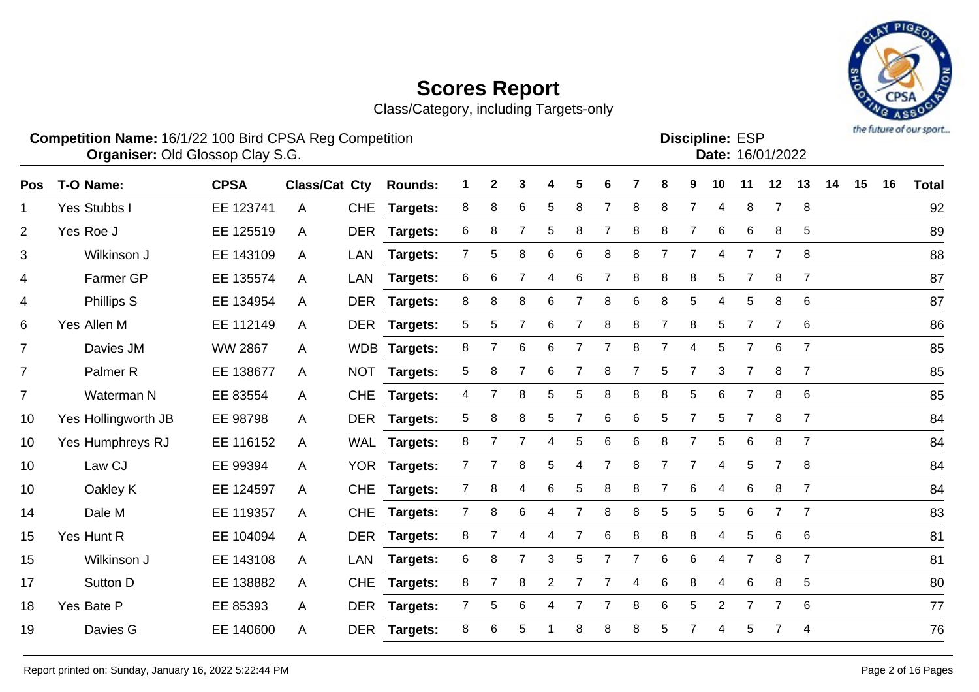Class/Category, including Targets-only



#### **Competition Name:** 16/1/22 100 Bird CPSA Reg Competition **EXP COMPETITION COMPETITION** Discipline: ESP **Organiser:** Old Glossop Clay S.G. 16/01/2022

**Discipline:**

| וטם. בסווווק |                  |
|--------------|------------------|
|              | Date: 16/01/2022 |
|              |                  |

| <b>Pos</b>     | T-O Name:           | <b>CPSA</b>    | <b>Class/Cat Cty</b> |            | <b>Rounds:</b>  |                | 2              | 3               | 4              | 5              |                 |   | 8              | 9              | 10              | 11             | 12             | 13              | 14 | 15 | 16 | <b>Total</b> |
|----------------|---------------------|----------------|----------------------|------------|-----------------|----------------|----------------|-----------------|----------------|----------------|-----------------|---|----------------|----------------|-----------------|----------------|----------------|-----------------|----|----|----|--------------|
| 1              | Yes Stubbs I        | EE 123741      | A                    | <b>CHE</b> | Targets:        | 8              | 8              | 6               | 5              | 8              | 7               | 8 | 8              | 7              | 4               | 8              | 7              | 8               |    |    |    | 92           |
| $\overline{2}$ | Yes Roe J           | EE 125519      | A                    | <b>DER</b> | Targets:        | 6              | 8              |                 | 5              | 8              |                 | 8 | 8              | 7              | 6               | 6              | 8              | 5               |    |    |    | 89           |
| 3              | Wilkinson J         | EE 143109      | A                    | <b>LAN</b> | Targets:        | 7              | 5              | 8               | 6              | 6              | 8               | 8 | $\overline{7}$ | 7              | 4               | $\overline{7}$ | 7              | 8               |    |    |    | 88           |
| 4              | Farmer GP           | EE 135574      | A                    | LAN        | Targets:        | 6              | 6              |                 | 4              | 6              |                 | 8 | 8              | 8              | 5               | 7              | 8              | 7               |    |    |    | 87           |
| 4              | Phillips S          | EE 134954      | A                    |            | DER Targets:    | 8              | 8              | 8               | 6              | $\overline{7}$ | 8               | 6 | 8              | 5              | 4               | 5              | 8              | 6               |    |    |    | 87           |
| 6              | Yes Allen M         | EE 112149      | A                    |            | DER Targets:    | 5              | 5              | $\overline{7}$  | 6              | $\overline{7}$ | 8               | 8 | $\overline{7}$ | 8              | $5\phantom{.0}$ | $\overline{7}$ | $\overline{7}$ | 6               |    |    |    | 86           |
| $\overline{7}$ | Davies JM           | <b>WW 2867</b> | A                    |            | WDB Targets:    | 8              | $\overline{7}$ | 6               | 6              | 7              | 7               | 8 | $\overline{7}$ | 4              | 5               | $\overline{7}$ | 6              | $\overline{7}$  |    |    |    | 85           |
| $\overline{7}$ | Palmer <sub>R</sub> | EE 138677      | A                    | <b>NOT</b> | Targets:        | 5              | 8              |                 | 6              |                | 8               |   | $\sqrt{5}$     | 7              | 3               | $\overline{7}$ | 8              | $\overline{7}$  |    |    |    | 85           |
| $\overline{7}$ | Waterman N          | EE 83554       | A                    | <b>CHE</b> | <b>Targets:</b> | 4              | $\overline{7}$ | 8               | 5              | 5              | 8               | 8 | 8              | 5              | 6               | $\overline{7}$ | 8              | 6               |    |    |    | 85           |
| 10             | Yes Hollingworth JB | EE 98798       | A                    | <b>DER</b> | <b>Targets:</b> | 5              | 8              | 8               | 5              | 7              | $6\phantom{1}6$ | 6 | 5              | 7              | 5               | $\overline{7}$ | 8              | $\overline{7}$  |    |    |    | 84           |
| 10             | Yes Humphreys RJ    | EE 116152      | A                    | <b>WAL</b> | <b>Targets:</b> | 8              |                |                 | 4              | 5              | 6               | 6 | 8              | 7              | 5               | 6              | 8              | $\overline{7}$  |    |    |    | 84           |
| 10             | Law CJ              | EE 99394       | A                    | <b>YOR</b> | Targets:        |                |                | 8               | 5              | 4              |                 | 8 | $\overline{7}$ | $\overline{7}$ | 4               | 5              | $\overline{7}$ | 8               |    |    |    | 84           |
| 10             | Oakley K            | EE 124597      | A                    | <b>CHE</b> | <b>Targets:</b> | $\overline{7}$ | 8              | 4               | 6              | 5              | 8               | 8 | $\overline{7}$ | 6              | 4               | 6              | 8              | $\overline{7}$  |    |    |    | 84           |
| 14             | Dale M              | EE 119357      | A                    | <b>CHE</b> | <b>Targets:</b> | $\overline{7}$ | 8              | $6\phantom{1}6$ | 4              | $\overline{7}$ | 8               | 8 | $\sqrt{5}$     | 5              | 5               | 6              | $\overline{7}$ | $\overline{7}$  |    |    |    | 83           |
| 15             | Yes Hunt R          | EE 104094      | A                    | <b>DER</b> | <b>Targets:</b> | 8              | 7              | 4               | 4              | 7              | 6               | 8 | 8              | 8              | 4               | 5              | 6              | $6\phantom{1}6$ |    |    |    | 81           |
| 15             | Wilkinson J         | EE 143108      | A                    | LAN        | Targets:        | 6              | 8              | 7               | 3              | 5              |                 | 7 | $\,6$          | 6              | 4               | $\overline{7}$ | 8              | $\overline{7}$  |    |    |    | 81           |
| 17             | Sutton D            | EE 138882      | A                    | <b>CHE</b> | <b>Targets:</b> | 8              | $\overline{7}$ | 8               | $\overline{2}$ | 7              | 7               | 4 | 6              | 8              | 4               | 6              | 8              | 5               |    |    |    | 80           |
| 18             | Yes Bate P          | EE 85393       | A                    | <b>DER</b> | Targets:        | $\overline{7}$ | 5              | 6               | 4              |                |                 | 8 | 6              | 5              | $\overline{2}$  | $\overline{7}$ |                | 6               |    |    |    | 77           |
| 19             | Davies G            | EE 140600      | A                    | <b>DER</b> | Targets:        | 8              | 6              | 5               |                | 8              | 8               | 8 | 5              | 7              | 4               | 5              |                | $\overline{4}$  |    |    |    | 76           |
|                |                     |                |                      |            |                 |                |                |                 |                |                |                 |   |                |                |                 |                |                |                 |    |    |    |              |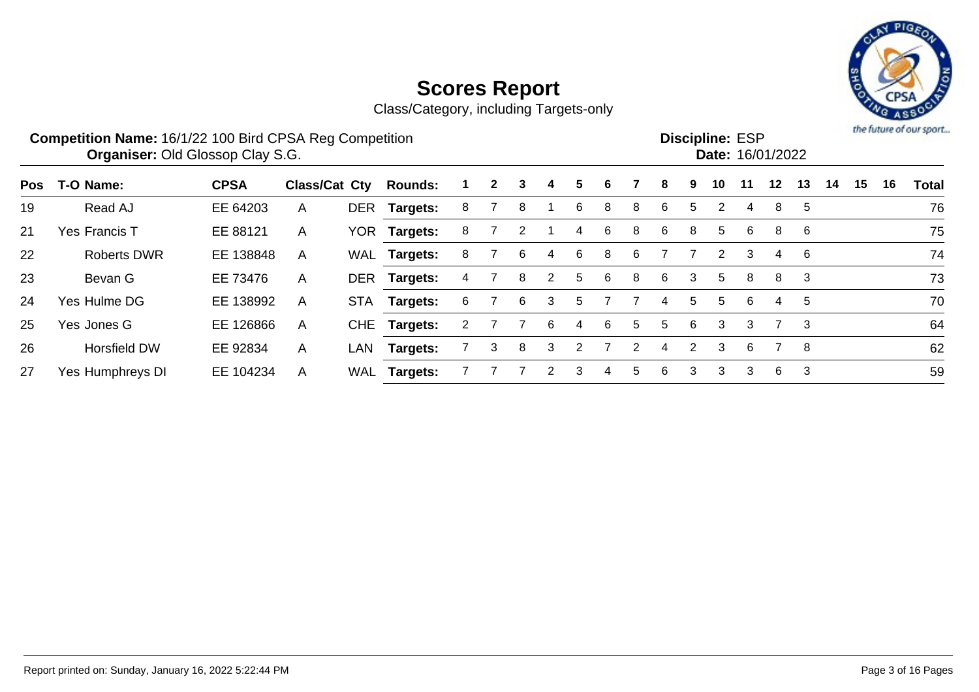

|            | <b>Competition Name: 16/1/22 100 Bird CPSA Reg Competition</b><br><b>Organiser: Old Glossop Clay S.G.</b> |             |               |            |                 |   |              |   |    |   |   |   |   |    | <b>Discipline: ESP</b><br>Date: 16/01/2022 |    |         |    |    |    |    | the future of our sport |
|------------|-----------------------------------------------------------------------------------------------------------|-------------|---------------|------------|-----------------|---|--------------|---|----|---|---|---|---|----|--------------------------------------------|----|---------|----|----|----|----|-------------------------|
| <b>Pos</b> | T-O Name:                                                                                                 | <b>CPSA</b> | Class/Cat Cty |            | <b>Rounds:</b>  |   | $\mathbf{2}$ | 3 | 4  | 5 | 6 |   | 8 | 9  | 10                                         | 11 | $12 \,$ | 13 | 14 | 15 | 16 | <b>Total</b>            |
| 19         | Read AJ                                                                                                   | EE 64203    | A             | <b>DER</b> | Targets:        | 8 |              | 8 |    | 6 | 8 | 8 | 6 | 5. |                                            | 4  | 8       | 5  |    |    |    | 76                      |
| 21         | Yes Francis T                                                                                             | EE 88121    | A             |            | YOR Targets:    | 8 |              |   |    | 4 | 6 | 8 | 6 | 8  | 5                                          | 6  | 8       | 6  |    |    |    | 75                      |
| 22         | <b>Roberts DWR</b>                                                                                        | EE 138848   | A             | WAL        | Targets:        | 8 |              | 6 | 4  | 6 | 8 | 6 |   |    | 2                                          | 3  | 4       | 6  |    |    |    | 74                      |
| 23         | Bevan G                                                                                                   | EE 73476    | A             | <b>DER</b> | <b>Targets:</b> |   |              | 8 |    | 5 | 6 | 8 | 6 | 3  | 5                                          | 8  | 8       | 3  |    |    |    | 73                      |
| 24         | Yes Hulme DG                                                                                              | EE 138992   | A             | <b>STA</b> | Targets:        | 6 |              | 6 | 3  | 5 |   |   | 4 | 5  | 5                                          | 6  | 4       | 5  |    |    |    | 70                      |
| 25         | Yes Jones G                                                                                               | EE 126866   | A             |            | CHE Targets:    | 2 |              |   | 6. | 4 | 6 | 5 | 5 | 6  | 3                                          | 3  |         | 3  |    |    |    | 64                      |
| 26         | <b>Horsfield DW</b>                                                                                       | EE 92834    | A             | LAN        | <b>Targets:</b> |   | 3            | 8 | 3  | 2 |   | 2 | 4 | 2  | 3                                          | -6 |         | -8 |    |    |    | 62                      |
| 27         | Yes Humphreys DI                                                                                          | EE 104234   | A             | WAL        | <b>Targets:</b> |   |              |   |    | 3 | 4 | 5 | 6 | 3  | 3                                          | 3  | 6       | 3  |    |    |    | 59                      |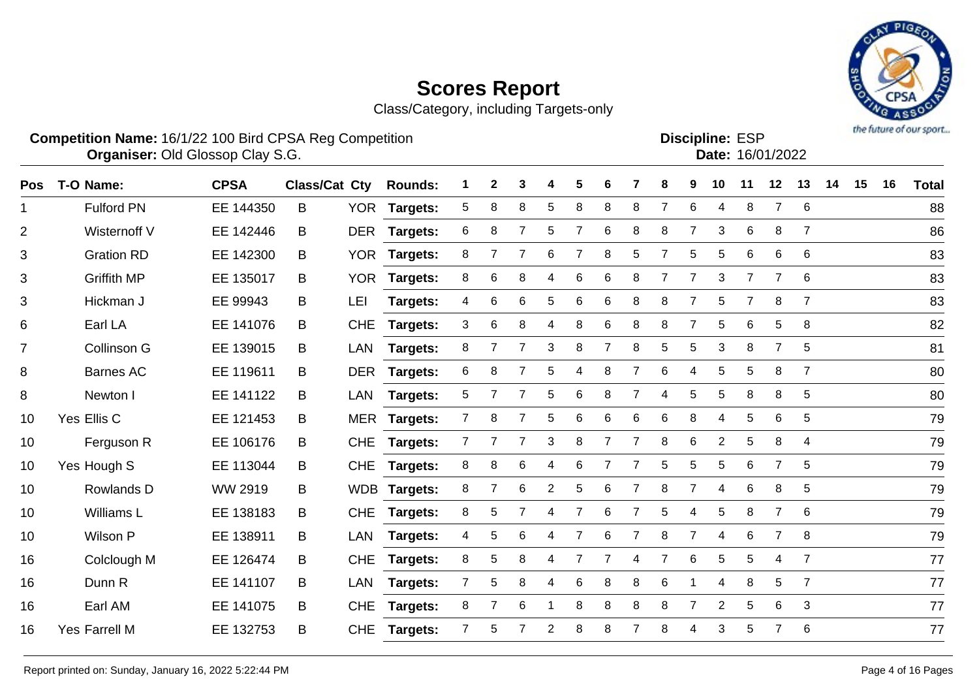Class/Category, including Targets-only



**Competition Name:** 16/1/22 100 Bird CPSA Reg Competition **EXP COMPETITION COMPETITION** Discipline: ESP **Organiser:** Old Glossop Clay S.G. 16/01/2022

Discipline: ESP<br>Date: 16/01/2022

| Pos | T-O Name:          | <b>CPSA</b> | <b>Class/Cat Cty</b> |            | <b>Rounds:</b>  |                | 2              | 3              |                | 5              | 6              |                | 8              | 9              | 10             | 11             | 12             | 13             | 14 | 15 | 16 | <b>Total</b> |
|-----|--------------------|-------------|----------------------|------------|-----------------|----------------|----------------|----------------|----------------|----------------|----------------|----------------|----------------|----------------|----------------|----------------|----------------|----------------|----|----|----|--------------|
| 1   | <b>Fulford PN</b>  | EE 144350   | B                    | <b>YOR</b> | Targets:        | 5              | 8              | 8              | 5              | 8              | 8              | 8              | 7              | 6              | 4              | 8              | $\overline{7}$ | 6              |    |    |    | 88           |
| 2   | Wisternoff V       | EE 142446   | B                    | <b>DER</b> | <b>Targets:</b> | 6              | 8              | 7              | 5              | $\overline{7}$ | 6              | 8              | 8              | $\overline{7}$ | 3              | 6              | 8              | $\overline{7}$ |    |    |    | 86           |
| 3   | <b>Gration RD</b>  | EE 142300   | B                    |            | YOR Targets:    | 8              | $\overline{7}$ | $\overline{7}$ | 6              | $\overline{7}$ | 8              | 5              | $\overline{7}$ | 5              | 5              | 6              | 6              | 6              |    |    |    | 83           |
| 3   | <b>Griffith MP</b> | EE 135017   | B                    | <b>YOR</b> | Targets:        | 8              | 6              | 8              | 4              | 6              | 6              | 8              | 7              | 7              | 3              | 7              | 7              | 6              |    |    |    | 83           |
| 3   | Hickman J          | EE 99943    | B                    | LEI        | Targets:        | 4              | 6              | 6              | 5              | $\,6$          | 6              | 8              | 8              | 7              | 5              | $\overline{7}$ | 8              | $\overline{7}$ |    |    |    | 83           |
| 6   | Earl LA            | EE 141076   | B                    | <b>CHE</b> | Targets:        | 3              | 6              | 8              | 4              | 8              | 6              | 8              | 8              |                | 5              | 6              | 5              | 8              |    |    |    | 82           |
| 7   | Collinson G        | EE 139015   | B                    | LAN        | Targets:        | 8              |                |                | 3              | 8              | 7              | 8              | 5              | 5              | 3              | 8              | $\overline{7}$ | 5              |    |    |    | 81           |
| 8   | <b>Barnes AC</b>   | EE 119611   | B                    | <b>DER</b> | Targets:        | 6              | 8              |                | 5              | 4              | 8              | 7              | 6              | 4              | 5              | 5              | 8              | $\overline{7}$ |    |    |    | 80           |
| 8   | Newton I           | EE 141122   | B                    | LAN        | Targets:        | 5              | 7              | 7              | 5              | 6              | 8              | $\overline{7}$ | 4              | 5              | 5              | 8              | 8              | $\overline{5}$ |    |    |    | 80           |
| 10  | Yes Ellis C        | EE 121453   | B                    |            | MER Targets:    | 7 <sup>1</sup> | 8              | 7              | 5              | 6              | 6              | 6              | 6              | 8              | 4              | 5              | 6              | 5              |    |    |    | 79           |
| 10  | Ferguson R         | EE 106176   | B                    | <b>CHE</b> | Targets:        | $\mathbf{7}$   |                | 7              | 3              | 8              | 7              |                | 8              | 6              | $\overline{2}$ | 5              | 8              | 4              |    |    |    | 79           |
| 10  | Yes Hough S        | EE 113044   | B                    | <b>CHE</b> | Targets:        | 8              | 8              | 6              | 4              | 6              | 7              |                | 5              | 5              | 5              | 6              | $\overline{7}$ | 5              |    |    |    | 79           |
| 10  | Rowlands D         | WW 2919     | B                    |            | WDB Targets:    | 8              | $\overline{7}$ | 6              | $\overline{2}$ | 5              | 6              |                | 8              | 7              | 4              | 6              | 8              | 5              |    |    |    | 79           |
| 10  | Williams L         | EE 138183   | B                    | <b>CHE</b> | <b>Targets:</b> | 8              | 5              |                | 4              | $\overline{7}$ | 6              |                | 5              | 4              | 5              | 8              | $\overline{7}$ | 6              |    |    |    | 79           |
| 10  | Wilson P           | EE 138911   | B                    | LAN        | <b>Targets:</b> | 4              | 5              | 6              | 4              | 7              | 6              | 7              | 8              | $\overline{7}$ | 4              | 6              | $\overline{7}$ | 8              |    |    |    | 79           |
| 16  | Colclough M        | EE 126474   | B                    | <b>CHE</b> | Targets:        | 8              | 5              | 8              | 4              | 7              | $\overline{7}$ | 4              | $\overline{7}$ | 6              | 5              | 5              | 4              | $\overline{7}$ |    |    |    | 77           |
| 16  | Dunn R             | EE 141107   | B                    | <b>LAN</b> | Targets:        | $\overline{7}$ | 5              | 8              | 4              | 6              | 8              | 8              | 6              |                | 4              | 8              | 5              | $\overline{7}$ |    |    |    | 77           |
| 16  | Earl AM            | EE 141075   | B                    | <b>CHE</b> | <b>Targets:</b> | 8              |                | 6              |                | 8              | 8              | 8              | 8              | 7              | $\overline{2}$ | 5              | 6              | 3              |    |    |    | 77           |
| 16  | Yes Farrell M      | EE 132753   | B                    | <b>CHE</b> | <b>Targets:</b> | 7              | 5              |                | $\overline{2}$ | 8              | 8              |                | 8              | 4              | 3              | 5              | 7              | 6              |    |    |    | 77           |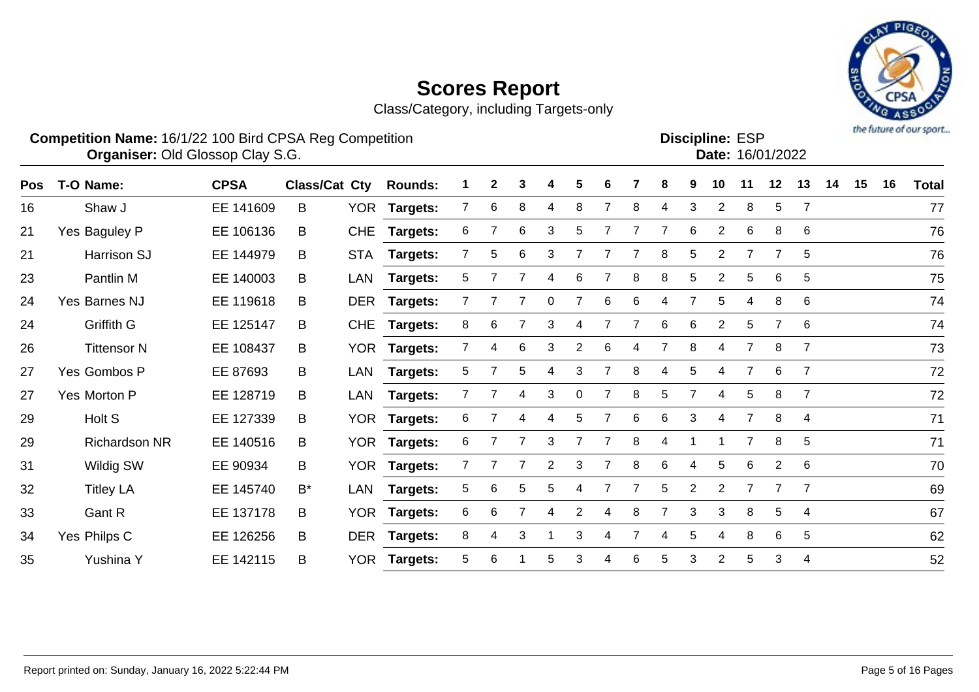

| <b>Competition Name: 16/1/22 100 Bird CPSA Reg Competition</b> |                                         |                              |  |  |  |                               |  | <b>Discipline: ESP</b> |  |
|----------------------------------------------------------------|-----------------------------------------|------------------------------|--|--|--|-------------------------------|--|------------------------|--|
|                                                                | <b>Organiser: Old Glossop Clay S.G.</b> |                              |  |  |  |                               |  | Date: 16/01/2022       |  |
| Pos T-O Name:                                                  | <b>CPSA</b>                             | <b>Class/Cat Cty Rounds:</b> |  |  |  | 1 2 3 4 5 6 7 8 9 10 11 12 13 |  |                        |  |

| <b>Pos</b> | T-O Name:            | <b>CPSA</b> | <b>Class/Cat Cty</b> |            | <b>Rounds:</b>  |                | 2 | 3 |    | 5              | 6 |   | 8 | 9               | 10             | 11             | 12             | 13             | 14 | 15 | 16 | Total |
|------------|----------------------|-------------|----------------------|------------|-----------------|----------------|---|---|----|----------------|---|---|---|-----------------|----------------|----------------|----------------|----------------|----|----|----|-------|
| 16         | Shaw J               | EE 141609   | B                    |            | YOR Targets:    | 7              | 6 | 8 | 4  | 8              |   | 8 | 4 | 3               | $\overline{2}$ | 8              | 5              | $\overline{7}$ |    |    |    | 77    |
| 21         | Yes Baguley P        | EE 106136   | B                    | <b>CHE</b> | <b>Targets:</b> | 6              |   | 6 | 3  | 5              |   |   |   | 6               | 2              | 6              | 8              | 6              |    |    |    | 76    |
| 21         | Harrison SJ          | EE 144979   | B                    |            | STA Targets:    |                | 5 | 6 | 3  |                |   |   | 8 | $5\overline{)}$ | $\overline{2}$ |                | 7              | 5              |    |    |    | 76    |
| 23         | Pantlin M            | EE 140003   | B                    | LAN        | <b>Targets:</b> | 5.             |   |   |    | 6              |   | 8 | 8 | 5               | $\overline{2}$ | 5              | 6              | 5              |    |    |    | 75    |
| 24         | Yes Barnes NJ        | EE 119618   | B                    |            | DER Targets:    |                |   |   |    |                | 6 | 6 | 4 |                 | 5              |                | 8              | 6              |    |    |    | 74    |
| 24         | Griffith G           | EE 125147   | B                    | <b>CHE</b> | <b>Targets:</b> | 8              | 6 |   | 3  |                |   |   | 6 | 6               | 2              | 5              | $\overline{7}$ | 6              |    |    |    | 74    |
| 26         | <b>Tittensor N</b>   | EE 108437   | B                    |            | YOR Targets:    | $\overline{7}$ | 4 | 6 | 3  | $\overline{2}$ | 6 | 4 | 7 | 8               | 4              | $\overline{7}$ | 8              | $\overline{7}$ |    |    |    | 73    |
| 27         | Yes Gombos P         | EE 87693    | B                    | LAN        | <b>Targets:</b> | 5.             |   | 5 |    | 3              |   | 8 | 4 | 5               | 4              |                | 6              | 7              |    |    |    | 72    |
| 27         | Yes Morton P         | EE 128719   | B                    | LAN        | <b>Targets:</b> |                |   | 4 | 3  | 0              |   | 8 | 5 |                 | 4              | 5              | 8              | $\overline{7}$ |    |    |    | 72    |
| 29         | Holt S               | EE 127339   | B                    |            | YOR Targets:    | 6              |   | 4 | 4  | 5              |   | 6 | 6 | 3               | 4              |                | 8              | $\overline{4}$ |    |    |    | 71    |
| 29         | <b>Richardson NR</b> | EE 140516   | B                    |            | YOR Targets:    | 6              |   |   | 3  | 7              |   | 8 | 4 | 1               |                | $\overline{7}$ | 8              | 5              |    |    |    | 71    |
| 31         | Wildig SW            | EE 90934    | B                    |            | YOR Targets:    |                |   |   |    | 3              |   | 8 | 6 | 4               | 5              | 6              | 2              | 6              |    |    |    | 70    |
| 32         | <b>Titley LA</b>     | EE 145740   | $B^*$                | LAN        | <b>Targets:</b> | 5              | 6 | 5 |    |                |   |   | 5 | 2               | $\overline{2}$ |                |                | $\overline{7}$ |    |    |    | 69    |
| 33         | Gant R               | EE 137178   | B                    |            | YOR Targets:    | 6              | 6 |   | 4  | 2              | 4 | 8 |   | 3               | 3              | 8              | 5              | 4              |    |    |    | 67    |
| 34         | Yes Philps C         | EE 126256   | B                    | <b>DER</b> | <b>Targets:</b> | 8              | 4 | 3 |    | 3              | 4 |   | 4 | 5               | 4              | 8              | 6              | 5              |    |    |    | 62    |
| 35         | Yushina Y            | EE 142115   | B                    |            | YOR Targets:    | 5              | 6 |   | 5. | 3              |   | 6 | 5 | 3               | $\overline{2}$ | 5              | 3              | 4              |    |    |    | 52    |
|            |                      |             |                      |            |                 |                |   |   |    |                |   |   |   |                 |                |                |                |                |    |    |    |       |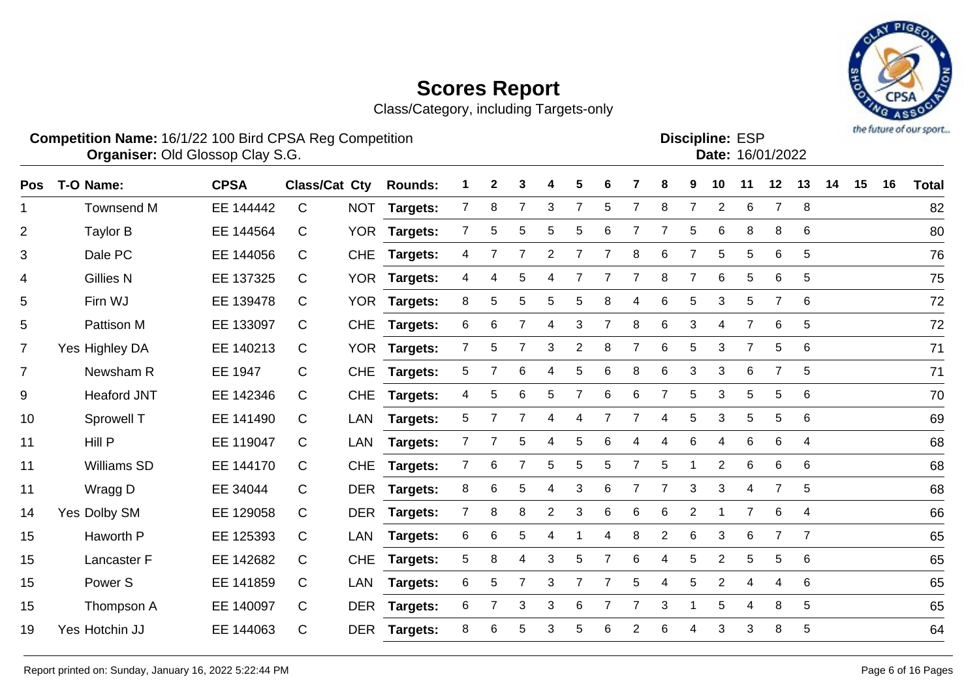Class/Category, including Targets-only



**Competition Name:** 16/1/22 100 Bird CPSA Reg Competition **EXP COMPETITION COMPETITION** Discipline: ESP **Organiser:** Old Glossop Clay S.G. 16/01/2022

**Discipline:**

| ו∪∟ נטוווועוטכ |                  |
|----------------|------------------|
|                | Date: 16/01/2022 |
|                |                  |

| <b>Pos</b>     | T-O Name:          | <b>CPSA</b> | <b>Class/Cat Cty</b> |            | <b>Rounds:</b>  |                | 2              | 3 |                |                |   |                | 8               | 9              | 10             | 11             | 12             | 13             | 14 | 15 | 16 | <b>Total</b> |
|----------------|--------------------|-------------|----------------------|------------|-----------------|----------------|----------------|---|----------------|----------------|---|----------------|-----------------|----------------|----------------|----------------|----------------|----------------|----|----|----|--------------|
| $\mathbf 1$    | <b>Townsend M</b>  | EE 144442   | $\mathsf{C}$         | <b>NOT</b> | Targets:        | $\mathbf{7}$   | 8              | 7 | 3              | 7              | 5 | 7              | 8               | $\overline{7}$ | $\overline{2}$ | 6              | 7              | 8              |    |    |    | 82           |
| $\overline{2}$ | <b>Taylor B</b>    | EE 144564   | C                    |            | YOR Targets:    | $\overline{7}$ | 5              | 5 | 5              | 5              | 6 | 7              | 7               | 5              | 6              | 8              | 8              | 6              |    |    |    | 80           |
| $\mathfrak{S}$ | Dale PC            | EE 144056   | C                    | <b>CHE</b> | Targets:        | 4              |                | 7 | $\overline{2}$ | 7              |   | 8              | $6\phantom{1}6$ | 7              | 5              | 5              | 6              | 5              |    |    |    | 76           |
| 4              | <b>Gillies N</b>   | EE 137325   | C                    | <b>YOR</b> | Targets:        | 4              | 4              | 5 | 4              |                |   | 7              | 8               | 7              | 6              | 5              | 6              | 5              |    |    |    | 75           |
| 5              | Firn WJ            | EE 139478   | C                    |            | YOR Targets:    | 8              | 5              | 5 | 5              | 5              | 8 | 4              | 6               | 5              | 3              | 5              | $\overline{7}$ | 6              |    |    |    | 72           |
| 5              | Pattison M         | EE 133097   | C                    | <b>CHE</b> | Targets:        | 6              | 6              | 7 | 4              | 3              | 7 | 8              | 6               | 3              | 4              | $\overline{7}$ | 6              | 5              |    |    |    | 72           |
| $\overline{7}$ | Yes Highley DA     | EE 140213   | C                    |            | YOR Targets:    | $\overline{7}$ | 5              | 7 | 3              | $\overline{2}$ | 8 | $\overline{7}$ | 6               | 5              | 3              | 7              | 5              | 6              |    |    |    | 71           |
| $\overline{7}$ | Newsham R          | EE 1947     | C                    | <b>CHE</b> | <b>Targets:</b> | 5              | 7              | 6 | 4              | 5              | 6 | 8              | 6               | 3              | 3              | 6              | $\overline{7}$ | 5              |    |    |    | 71           |
| 9              | <b>Heaford JNT</b> | EE 142346   | C                    | <b>CHE</b> | Targets:        | 4              | 5              | 6 | 5              | $\overline{7}$ | 6 | 6              | $\overline{7}$  | 5              | 3              | 5              | 5              | 6              |    |    |    | 70           |
| 10             | Sprowell T         | EE 141490   | C                    | LAN        | <b>Targets:</b> | 5              | 7              | 7 | 4              | 4              | 7 | 7              | 4               | 5              | 3              | 5              | 5              | 6              |    |    |    | 69           |
| 11             | Hill P             | EE 119047   | C                    | <b>LAN</b> | <b>Targets:</b> | 7              |                | 5 | 4              | 5              | 6 |                |                 | 6              | 4              | 6              | 6              | 4              |    |    |    | 68           |
| 11             | <b>Williams SD</b> | EE 144170   | C                    | <b>CHE</b> | Targets:        | $\overline{7}$ | 6              |   | 5              | 5              | 5 | 7              | 5               |                | $\overline{2}$ | 6              | 6              | 6              |    |    |    | 68           |
| 11             | Wragg D            | EE 34044    | C.                   |            | DER Targets:    | 8              | 6              | 5 | 4              | 3              | 6 | $\overline{7}$ | $\overline{7}$  | 3              | 3              | 4              | $\overline{7}$ | 5              |    |    |    | 68           |
| 14             | Yes Dolby SM       | EE 129058   | C                    |            | DER Targets:    | $\overline{7}$ | 8              | 8 | $\overline{2}$ | 3              | 6 | 6              | 6               | $\overline{2}$ |                | $\overline{7}$ | $\,6$          | 4              |    |    |    | 66           |
| 15             | Haworth P          | EE 125393   | С                    | LAN        | <b>Targets:</b> | 6              | 6              | 5 | 4              |                | 4 | 8              | $\overline{2}$  | 6              | 3              | 6              | $\overline{7}$ | $\overline{7}$ |    |    |    | 65           |
| 15             | Lancaster F        | EE 142682   | С                    | <b>CHE</b> | <b>Targets:</b> | 5              | 8              | 4 | 3              | 5              | 7 | 6              | 4               | 5              | $\overline{2}$ | 5              | 5              | 6              |    |    |    | 65           |
| 15             | Power S            | EE 141859   | С                    | LAN        | <b>Targets:</b> | 6              | 5              | 7 | 3              | 7              | 7 | 5              | 4               | 5              | $\overline{2}$ | 4              | 4              | 6              |    |    |    | 65           |
| 15             | Thompson A         | EE 140097   | C                    |            | DER Targets:    | 6              | $\overline{7}$ | 3 | 3              | 6              |   |                | 3               |                | 5              | 4              | 8              | 5              |    |    |    | 65           |
| 19             | Yes Hotchin JJ     | EE 144063   | С                    | <b>DER</b> | Targets:        | 8              | 6              | 5 | 3              | 5              | 6 | 2              | 6               | 4              | 3              | 3              | 8              | 5              |    |    |    | 64           |
|                |                    |             |                      |            |                 |                |                |   |                |                |   |                |                 |                |                |                |                |                |    |    |    |              |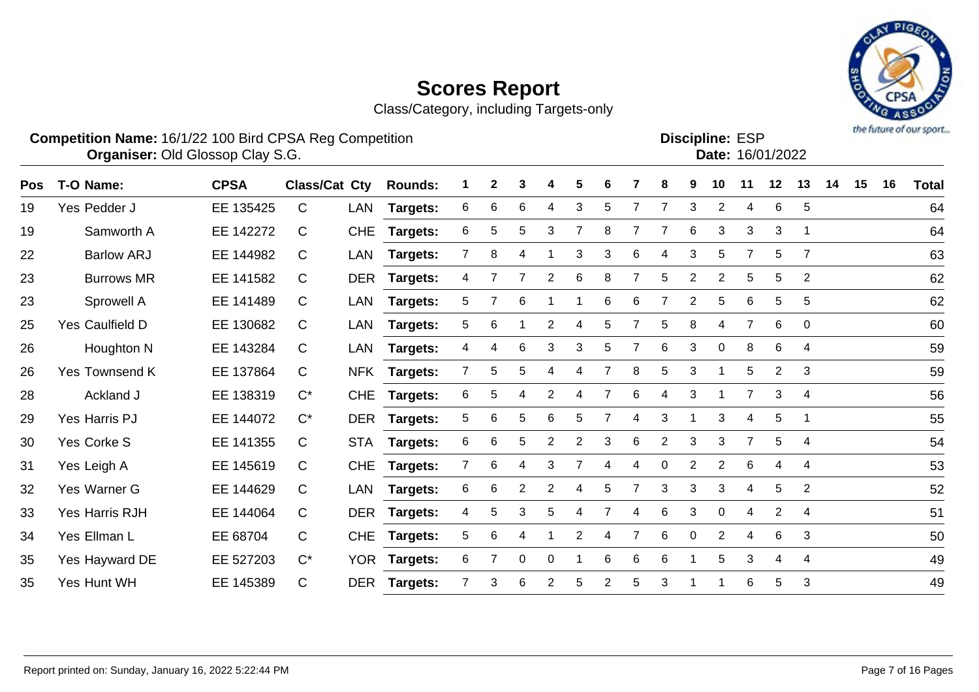Class/Category, including Targets-only



**Discipline:**

**Competition Name:** 16/1/22 100 Bird CPSA Reg Competition **EXP COMPETITION COMPETITION CONSTRUSTER ESP Organiser:** Old Glossop Clay S.G. 16/01/2022

Pos T-O-Name: CPSA Class/Cat Cty Rounds: 1 2 3 4 5 6 7 8 9 10 11 12 13 14 15 16 Total Yes Pedder J EE 135425 C LAN **Targets:** 6 6 6 4 3 5 7 7 3 2 4 6 5 64 Samworth A EE 142272 C CHE **Targets:** 6 5 5 3 7 8 7 7 6 3 3 3 1 64 Barlow ARJ EE 144982 C LAN **Targets:** 7 8 4 1 3 3 6 4 3 5 7 5 7 63 Burrows MR EE 141582 C DER **Targets:** 4 7 7 2 6 8 7 5 2 2 5 5 2 62 Sprowell A EE 141489 C LAN **Targets:** 5 7 6 1 1 6 6 7 2 5 6 5 5 62 Yes Caulfield D EE 130682 C LAN **Targets:** 5 6 1 2 4 5 7 5 8 4 7 6 0 60 Houghton N EE 143284 C LAN **Targets:** 4 4 6 3 3 5 7 6 3 0 8 6 4 59 Yes Townsend K EE 137864 C NFK **Targets:** 7 5 5 4 4 7 8 5 3 1 5 2 3 59 Ackland J EE 138319 C\* CHE **Targets:** 6 5 4 2 4 7 6 4 3 1 7 3 4 56 Yes Harris PJ EE 144072 C\* DER **Targets:** 5 6 5 6 5 7 4 3 1 3 4 5 1 55 Yes Corke S EE 141355 C STA **Targets:** 6 6 5 2 2 3 6 2 3 3 7 5 4 54 Yes Leigh A EE 145619 C CHE **Targets:** 7 6 4 3 7 4 4 0 2 2 6 4 4 53 32 Yes Warner G EE 144629 C LAN **Targets:** 6 6 2 2 4 5 7 3 3 3 4 5 2 52 Yes Harris RJH EE 144064 C DER **Targets:** 4 5 3 5 4 7 4 6 3 0 4 2 4 51 Yes Ellman L EE 68704 C CHE **Targets:** 5 6 4 1 2 4 7 6 0 2 4 6 3 50 Yes Hayward DE EE 527203 C\* YOR **Targets:** 6 7 0 0 1 6 6 6 1 5 3 4 4 49 Yes Hunt WH EE 145389 C DER **Targets:** 7 3 6 2 5 2 5 3 1 1 6 5 3 49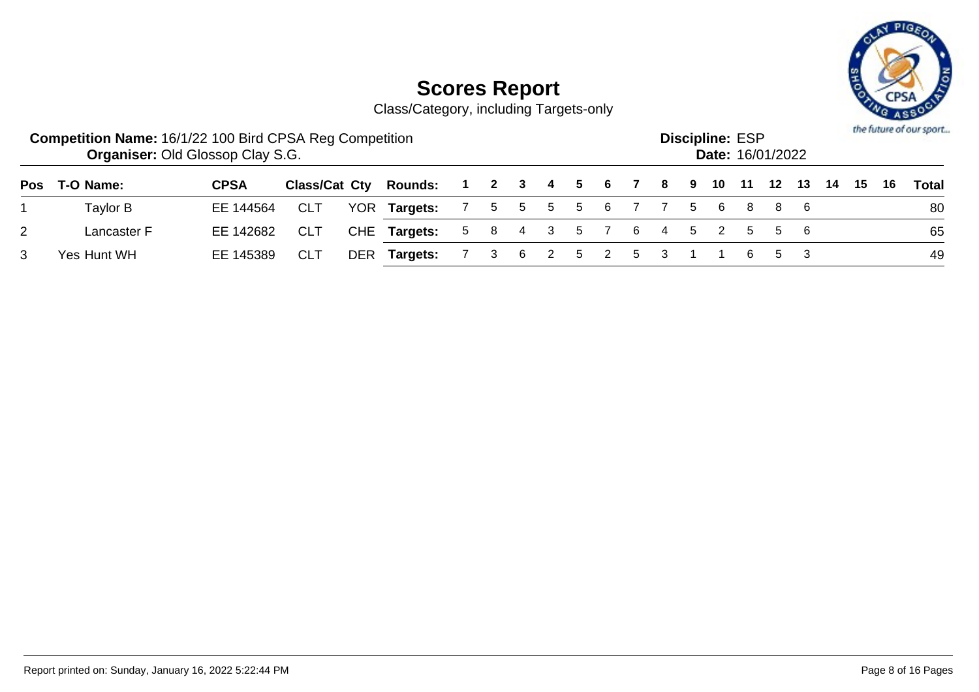

|   | <b>Competition Name: 16/1/22 100 Bird CPSA Reg Competition</b><br><b>Organiser: Old Glossop Clay S.G.</b> |             |            |     |                                                              |   |     |          |     |               | <b>Discipline: ESP</b><br>Date: 16/01/2022 |  |  |  | the future of our sport |
|---|-----------------------------------------------------------------------------------------------------------|-------------|------------|-----|--------------------------------------------------------------|---|-----|----------|-----|---------------|--------------------------------------------|--|--|--|-------------------------|
|   | Pos T-O Name:                                                                                             | <b>CPSA</b> |            |     | Class/Cat Cty Rounds: 1 2 3 4 5 6 7 8 9 10 11 12 13 14 15 16 |   |     |          |     |               |                                            |  |  |  | Total                   |
|   | Taylor B                                                                                                  | EE 144564   | CLT        |     | YOR Targets: 7 5 5 5 5 6 7 7 5 6 8 8 6                       |   |     |          |     |               |                                            |  |  |  | 80                      |
| 2 | Lancaster F                                                                                               | EE 142682   | <b>CLT</b> |     | CHE Targets: 5 8 4 3 5 7 6 4 5 2 5 5 6                       |   |     |          |     |               |                                            |  |  |  | 65                      |
|   | Yes Hunt WH                                                                                               | EE 145389   | <b>CLT</b> | DER | Targets:                                                     | 3 | - 6 | $\sim$ 2 | 5 2 | 5 3 1 1 6 5 3 |                                            |  |  |  | 49                      |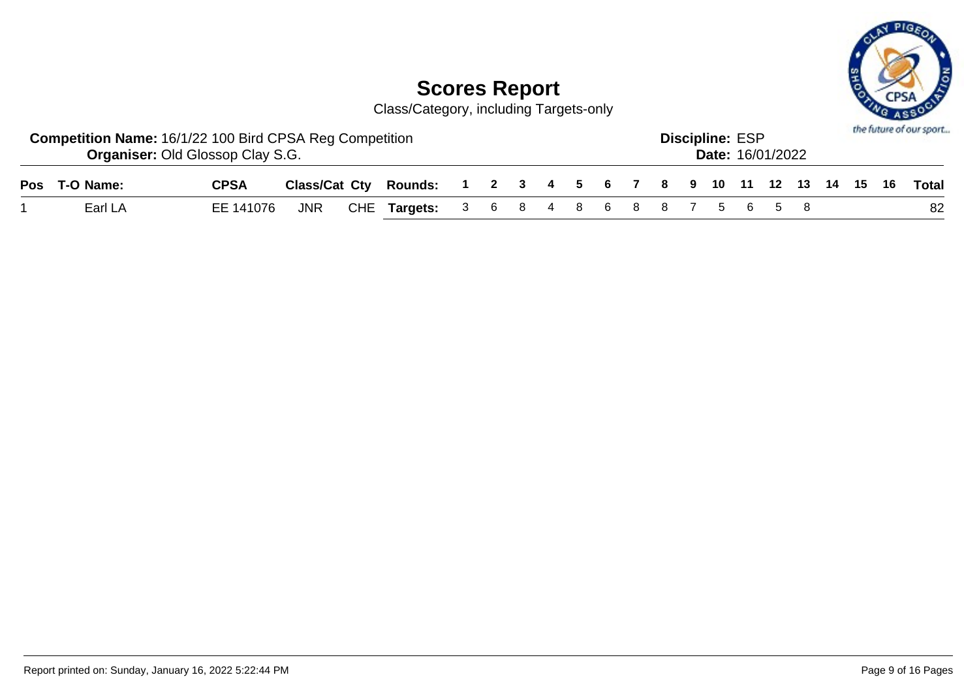

| <b>Competition Name: 16/1/22 100 Bird CPSA Reg Competition</b> | <b>Organiser: Old Glossop Clay S.G.</b> |  |                                                                    |  |  |  |  | <b>Discipline: ESP</b> | <b>Date: 16/01/2022</b> |  |  | the future of our sport |
|----------------------------------------------------------------|-----------------------------------------|--|--------------------------------------------------------------------|--|--|--|--|------------------------|-------------------------|--|--|-------------------------|
| Pos T-O Name:                                                  | <b>CPSA</b>                             |  | Class/Cat Cty Rounds: 1 2 3 4 5 6 7 8 9 10 11 12 13 14 15 16 Total |  |  |  |  |                        |                         |  |  |                         |
| Earl LA                                                        | EE 141076                               |  | JNR CHE Targets: 3 6 8 4 8 6 8 8 7 5 6 5 8                         |  |  |  |  |                        |                         |  |  | 82                      |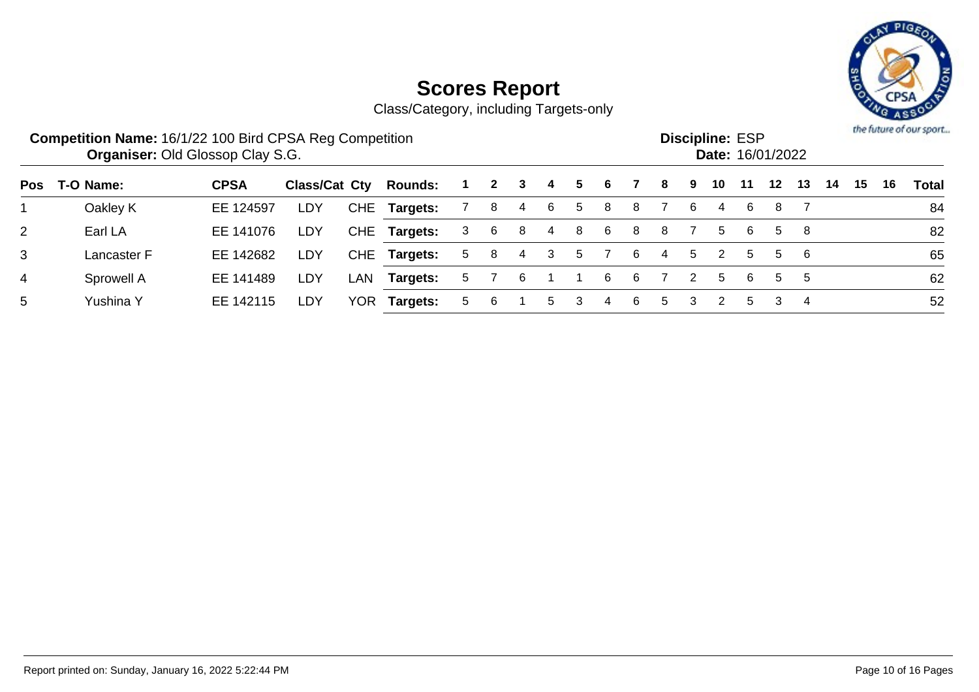

|            | <b>Competition Name: 16/1/22 100 Bird CPSA Reg Competition</b> | <b>Organiser: Old Glossop Clay S.G.</b> |               |            |                |    |              |    |    |    |   |    |    |   | <b>Discipline: ESP</b> |    | Date: 16/01/2022 |     |    |    |    | the future of our sport |
|------------|----------------------------------------------------------------|-----------------------------------------|---------------|------------|----------------|----|--------------|----|----|----|---|----|----|---|------------------------|----|------------------|-----|----|----|----|-------------------------|
| <b>Pos</b> | T-O Name:                                                      | <b>CPSA</b>                             | Class/Cat Cty |            | <b>Rounds:</b> |    | $\mathbf{2}$ | 3  | -4 | 5. | 6 |    | 8  | 9 | 10                     | 11 | 12               | 13  | 14 | 15 | 16 | Total                   |
|            | Oakley K                                                       | EE 124597                               | LDY           |            | CHE Targets:   |    | 8            | 4  | -6 | 5  | 8 | 8  |    | 6 | 4                      | 6  | 8                |     |    |    |    | 84                      |
| 2          | Earl LA                                                        | EE 141076                               | LDY           | <b>CHE</b> | Targets:       | 3  | 6            | -8 | -4 | 8  | 6 | -8 | 8  |   | 5                      | -6 | 5.               | -8  |    |    |    | 82                      |
| 3          | Lancaster F                                                    | EE 142682                               | LDY           |            | CHE Targets:   | 5  | 8            | 4  | 3  | 5  |   | 6  | 4  | 5 |                        | 5  | 5.               | - 6 |    |    |    | 65                      |
| 4          | Sprowell A                                                     | EE 141489                               | LDY           | LAN        | Targets:       | 5. |              | 6  |    |    | 6 | 6  |    | 2 | 5                      | 6  | 5                | 5   |    |    |    | 62                      |
| 5          | Yushina Y                                                      | EE 142115                               | LDY           | <b>YOR</b> | Targets:       | 5. | 6            |    | 5  | 3  | 4 | -6 | 5. | 3 | 2                      | 5. | 3                | 4   |    |    |    | 52                      |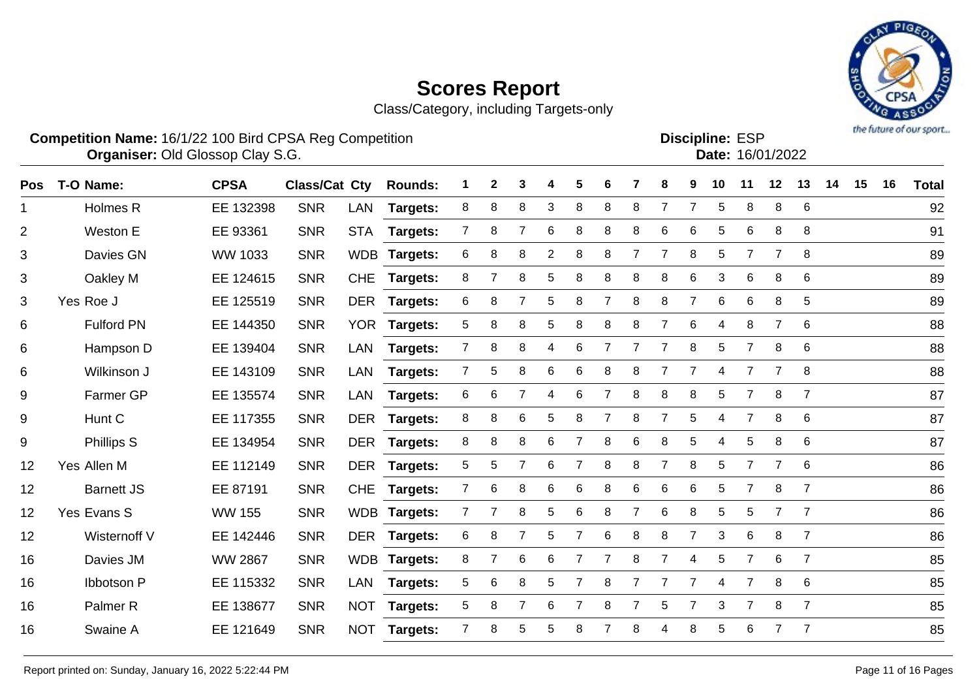Class/Category, including Targets-only



**Competition Name:** 16/1/22 100 Bird CPSA Reg Competition **EXP COMPETITION COMPETITION CONSTRUSTER ESP Organiser:** Old Glossop Clay S.G. 16/01/2022 Discipline: ESP<br>Date: 16/01/2022

| <b>Pos</b>     | T-O Name:           | <b>CPSA</b>    | <b>Class/Cat Cty</b> |            | <b>Rounds:</b>  |                 | 2              | 3              |                | 5              | 6              |                | 8              | 9              | 10 | 11             | 12             | 13             | 14 | 15 | 16 | <b>Total</b> |
|----------------|---------------------|----------------|----------------------|------------|-----------------|-----------------|----------------|----------------|----------------|----------------|----------------|----------------|----------------|----------------|----|----------------|----------------|----------------|----|----|----|--------------|
| 1              | Holmes R            | EE 132398      | <b>SNR</b>           | <b>LAN</b> | Targets:        | 8               | 8              | 8              | 3              | 8              | 8              | 8              | $\overline{7}$ |                | 5  | 8              | 8              | 6              |    |    |    | 92           |
| $\overline{2}$ | Weston E            | EE 93361       | <b>SNR</b>           | <b>STA</b> | Targets:        | $7^{\circ}$     | 8              | $\overline{7}$ | 6              | 8              | 8              | 8              | 6              | 6              | 5  | 6              | 8              | 8              |    |    |    | 91           |
| 3              | Davies GN           | WW 1033        | <b>SNR</b>           |            | WDB Targets:    | 6               | 8              | 8              | $\overline{2}$ | 8              | 8              | $\overline{7}$ | 7              | 8              | 5  | $\overline{7}$ | $\overline{7}$ | 8              |    |    |    | 89           |
| 3              | Oakley M            | EE 124615      | <b>SNR</b>           | <b>CHE</b> | <b>Targets:</b> | 8               | 7              | 8              | 5              | 8              | 8              | 8              | 8              | 6              | 3  | 6              | 8              | 6              |    |    |    | 89           |
| 3              | Yes Roe J           | EE 125519      | <b>SNR</b>           | <b>DER</b> | Targets:        | 6               | 8              | $\overline{7}$ | 5              | 8              | 7              | 8              | 8              | $\overline{7}$ | 6  | 6              | 8              | 5              |    |    |    | 89           |
| 6              | <b>Fulford PN</b>   | EE 144350      | <b>SNR</b>           |            | YOR Targets:    | 5               | 8              | 8              | 5              | 8              | 8              | 8              | $\overline{7}$ | 6              | 4  | 8              | $\overline{7}$ | 6              |    |    |    | 88           |
| 6              | Hampson D           | EE 139404      | <b>SNR</b>           | <b>LAN</b> | Targets:        | $7\overline{ }$ | 8              | 8              | 4              | 6              | $\overline{7}$ | $\overline{7}$ | $\overline{7}$ | 8              | 5  | $\overline{7}$ | 8              | 6              |    |    |    | 88           |
| 6              | Wilkinson J         | EE 143109      | <b>SNR</b>           | <b>LAN</b> | <b>Targets:</b> | $\overline{7}$  | 5              | 8              | 6              | 6              | 8              | 8              | 7              | 7              | 4  | $\overline{7}$ | 7              | 8              |    |    |    | 88           |
| 9              | Farmer GP           | EE 135574      | <b>SNR</b>           | <b>LAN</b> | <b>Targets:</b> | 6               | 6              | 7              | 4              | 6              |                | 8              | 8              | 8              | 5  | $\overline{7}$ | 8              | $\overline{7}$ |    |    |    | 87           |
| 9              | Hunt C              | EE 117355      | <b>SNR</b>           | <b>DER</b> | <b>Targets:</b> | 8               | 8              | 6              | 5              | 8              | $\overline{7}$ | 8              | $\overline{7}$ | 5              | 4  | $\overline{7}$ | 8              | 6              |    |    |    | 87           |
| 9              | <b>Phillips S</b>   | EE 134954      | <b>SNR</b>           | <b>DER</b> | <b>Targets:</b> | 8               | 8              | 8              | 6              | $\overline{7}$ | 8              | 6              | 8              | 5              | 4  | 5              | 8              | 6              |    |    |    | 87           |
| 12             | Yes Allen M         | EE 112149      | <b>SNR</b>           | <b>DER</b> | <b>Targets:</b> | 5               | 5              | 7              | 6              | $\overline{7}$ | 8              | 8              | 7              | 8              | 5  | $\overline{7}$ | $\overline{7}$ | 6              |    |    |    | 86           |
| 12             | <b>Barnett JS</b>   | EE 87191       | <b>SNR</b>           | <b>CHE</b> | <b>Targets:</b> | $\overline{7}$  | 6              | 8              | 6              | 6              | 8              | 6              | 6              | 6              | 5  | $\overline{7}$ | 8              | $\overline{7}$ |    |    |    | 86           |
| 12             | Yes Evans S         | <b>WW 155</b>  | <b>SNR</b>           |            | WDB Targets:    | 7 <sup>1</sup>  | $\overline{7}$ | 8              | 5              | 6              | 8              | $\overline{7}$ | 6              | 8              | 5  | 5              | $\overline{7}$ | $\overline{7}$ |    |    |    | 86           |
| 12             | Wisternoff V        | EE 142446      | <b>SNR</b>           | <b>DER</b> | <b>Targets:</b> | 6               | 8              | $\overline{7}$ | 5              | $\overline{7}$ | $6\phantom{1}$ | 8              | $\,8\,$        | $\overline{7}$ | 3  | 6              | $\, 8$         | $\overline{7}$ |    |    |    | 86           |
| 16             | Davies JM           | <b>WW 2867</b> | <b>SNR</b>           |            | WDB Targets:    | 8               | $\overline{7}$ | 6              | 6              | $\overline{7}$ | 7              | 8              | $\overline{7}$ | 4              | 5  | $\overline{7}$ | 6              | $\overline{7}$ |    |    |    | 85           |
| 16             | Ibbotson P          | EE 115332      | <b>SNR</b>           | <b>LAN</b> | <b>Targets:</b> | 5               | 6              | 8              | 5              | 7              | 8              |                | 7              | 7              | 4  | $\overline{7}$ | 8              | 6              |    |    |    | 85           |
| 16             | Palmer <sub>R</sub> | EE 138677      | <b>SNR</b>           | <b>NOT</b> | <b>Targets:</b> | 5               | 8              | 7              | 6              | $\overline{7}$ | 8              |                | 5              | 7              | 3  | $\overline{7}$ | 8              | $\overline{7}$ |    |    |    | 85           |
| 16             | Swaine A            | EE 121649      | <b>SNR</b>           | <b>NOT</b> | <b>Targets:</b> | $\overline{7}$  | 8              | 5              | 5              | 8              |                | 8              | 4              | 8              | 5  | 6              |                | $\overline{7}$ |    |    |    | 85           |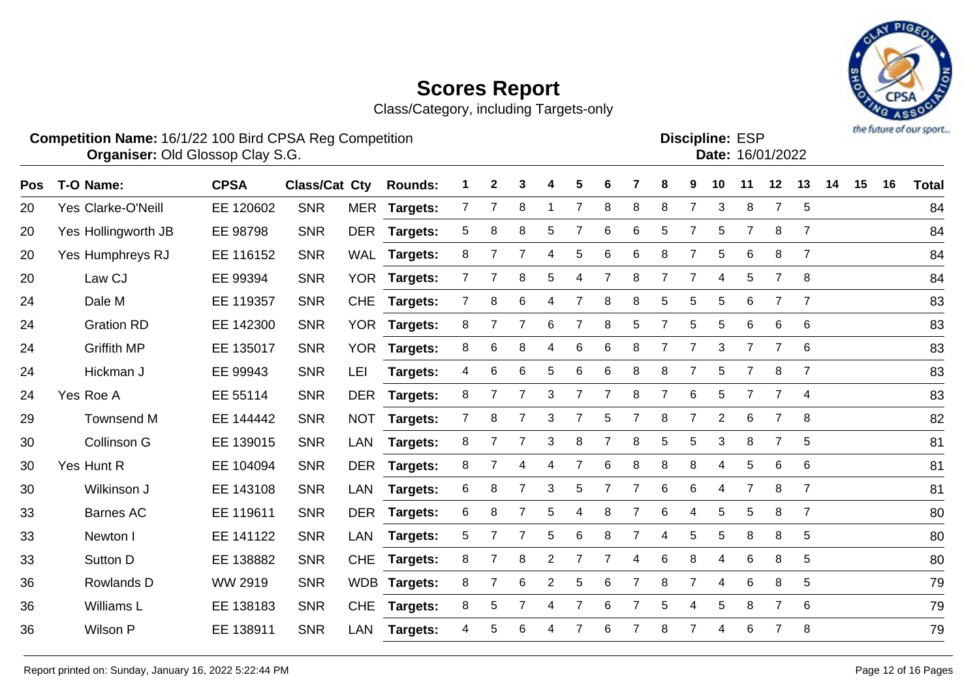Class/Category, including Targets-only



|     | <b>Competition Name: 16/1/22 100 Bird CPSA Reg Competition</b><br>Organiser: Old Glossop Clay S.G. |             |                      |            |                 |   |              |   |   |                |                |   |   |    |                | <b>Discipline: ESP</b> | Date: 16/01/2022 |                |    |    |    | the company of one shower |
|-----|----------------------------------------------------------------------------------------------------|-------------|----------------------|------------|-----------------|---|--------------|---|---|----------------|----------------|---|---|----|----------------|------------------------|------------------|----------------|----|----|----|---------------------------|
| Pos | T-O Name:                                                                                          | <b>CPSA</b> | <b>Class/Cat Cty</b> |            | <b>Rounds:</b>  |   | $\mathbf{2}$ | 3 | 4 | 5              | 6              |   | 8 | 9  | 10             | 11                     | 12               | 13             | 14 | 15 | 16 | <b>Total</b>              |
| 20  | <b>Yes Clarke-O'Neill</b>                                                                          | EE 120602   | <b>SNR</b>           | MER        | Targets:        |   |              | 8 |   |                | 8              | 8 | 8 |    | 3              | 8                      |                  | 5              |    |    |    | 84                        |
| 20  | Yes Hollingworth JB                                                                                | EE 98798    | <b>SNR</b>           | DER        | Targets:        | 5 | 8            | 8 | 5 |                | 6              | 6 | 5 | 7  | 5              | $\overline{7}$         | 8                | $\overline{7}$ |    |    |    | 84                        |
| 20  | Yes Humphreys RJ                                                                                   | EE 116152   | <b>SNR</b>           | WAL        | Targets:        | 8 |              |   | 4 | 5              | 6              | 6 | 8 |    | 5              | 6                      | 8                |                |    |    |    | 84                        |
| 20  | Law CJ                                                                                             | EE 99394    | <b>SNR</b>           | YOR I      | Targets:        |   |              | 8 | 5 | 4              |                | 8 |   |    | 4              | 5                      |                  | 8              |    |    |    | 84                        |
| 24  | Dale M                                                                                             | EE 119357   | <b>SNR</b>           | <b>CHE</b> | <b>Targets:</b> |   | 8            | 6 | 4 |                | 8              | 8 | 5 | 5  | 5              | 6                      |                  |                |    |    |    | 83                        |
| 24  | <b>Gration RD</b>                                                                                  | EE 142300   | <b>SNR</b>           | <b>YOR</b> | Targets:        | 8 |              |   | 6 |                | 8              | 5 |   | 5. | 5              | 6                      | 6                | 6              |    |    |    | 83                        |
| 24  | <b>Griffith MP</b>                                                                                 | EE 135017   | <b>SNR</b>           | YOR.       | Targets:        | 8 | 6            | 8 | 4 | 6              | 6              | 8 | 7 | 7  | 3              | 7                      | 7                | 6              |    |    |    | 83                        |
| 24  | Hickman J                                                                                          | EE 99943    | <b>SNR</b>           | LEI        | Targets:        | 4 | 6            | 6 | 5 | 6              | 6              | 8 | 8 |    | 5              |                        | 8                | $\overline{7}$ |    |    |    | 83                        |
| 24  | Yes Roe A                                                                                          | EE 55114    | <b>SNR</b>           | <b>DER</b> | Targets:        | 8 |              |   | 3 |                |                | 8 | 7 | 6  | 5              | 7                      |                  | 4              |    |    |    | 83                        |
| 29  | Townsend M                                                                                         | EE 144442   | <b>SNR</b>           | <b>NOT</b> | <b>Targets:</b> |   | 8            |   | 3 |                | 5.             |   | 8 | 7  | $\overline{2}$ | 6                      |                  | 8              |    |    |    | 82                        |
| 30  | Collinson G                                                                                        | EE 139015   | <b>SNR</b>           | LAN        | <b>Targets:</b> | 8 |              | 7 | 3 | 8              | $\overline{7}$ | 8 | 5 | 5  | 3              | 8                      |                  | 5              |    |    |    | 81                        |
| 30  | Yes Hunt R                                                                                         | EE 104094   | <b>SNR</b>           | <b>DER</b> | Targets:        | 8 |              | 4 | 4 | $\overline{7}$ | 6              | 8 | 8 | 8  | 4              | 5                      | 6                | 6              |    |    |    | 81                        |
| 30  | Wilkinson J                                                                                        | EE 143108   | <b>SNR</b>           | LAN        | Targets:        | 6 | 8            |   | 3 | 5              |                |   | 6 | 6  | 4              |                        | 8                | $\overline{7}$ |    |    |    | 81                        |

Barnes AC EE 119611 SNR DER **Targets:** 6 8 7 5 4 8 7 6 4 5 5 8 7 80

 Newton I EE 141122 SNR LAN **Targets:** 5 7 7 5 6 8 7 4 5 5 8 8 5 80 Sutton D EE 138882 SNR CHE **Targets:** 8 7 8 2 7 7 4 6 8 4 6 8 5 80

Rowlands D WW 2919 SNR WDB **Targets:** 8 7 6 2 5 6 7 8 7 4 6 8 5 79

Williams L EE 138183 SNR CHE **Targets:** 8 5 7 4 7 6 7 5 4 5 8 7 6 79

Wilson P EE 138911 SNR LAN **Targets:** 4 5 6 4 7 6 7 8 7 4 6 7 8 79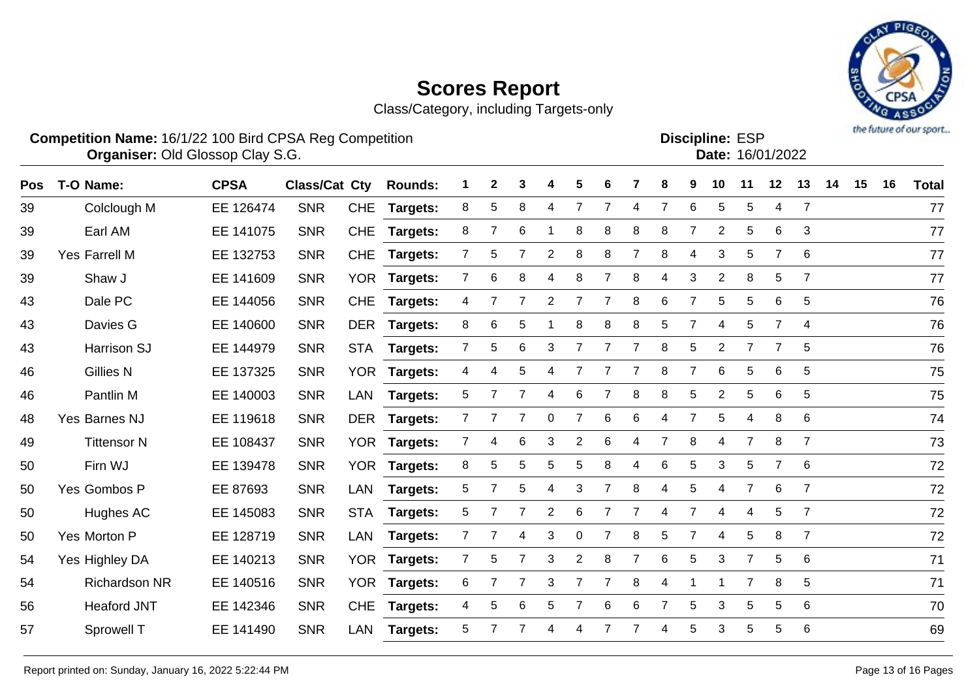Class/Category, including Targets-only



**Discipline:**

|            |                      | <b>Competition Name: 16/1/22 100 Bird CPSA Reg Competition</b><br>Organiser: Old Glossop Clay S.G.<br><b>CPSA</b><br><b>Class/Cat Cty</b><br>$\mathbf 2$<br>5<br><b>Rounds:</b><br>3<br>4<br>6 |            |            |                 |                |                |   |                |                |                |                |                |                | <b>Discipline: ESP</b> |                | Date: 16/01/2022 |                 |    |    |    | the company of one showed |
|------------|----------------------|------------------------------------------------------------------------------------------------------------------------------------------------------------------------------------------------|------------|------------|-----------------|----------------|----------------|---|----------------|----------------|----------------|----------------|----------------|----------------|------------------------|----------------|------------------|-----------------|----|----|----|---------------------------|
| <b>Pos</b> | T-O Name:            |                                                                                                                                                                                                |            |            |                 |                |                |   |                |                |                |                | 8              | 9              | 10                     | 11             | 12               | 13              | 14 | 15 | 16 | <b>Total</b>              |
| 39         | Colclough M          | EE 126474                                                                                                                                                                                      | <b>SNR</b> |            | CHE Targets:    | 8              | 5              | 8 | 4              | $\overline{7}$ | 7              | 4              | $\overline{7}$ | 6              | 5                      | 5              | 4                | 7               |    |    |    | 77                        |
| 39         | Earl AM              | EE 141075                                                                                                                                                                                      | <b>SNR</b> | <b>CHE</b> | Targets:        | 8              | $\overline{7}$ | 6 |                | 8              | 8              | 8              | 8              | $\overline{7}$ | $\overline{2}$         | $\sqrt{5}$     | $\,6$            | 3               |    |    |    | 77                        |
| 39         | Yes Farrell M        | EE 132753                                                                                                                                                                                      | <b>SNR</b> | <b>CHE</b> | Targets:        | $\overline{7}$ | 5              |   | $\overline{2}$ | 8              | 8              | $\overline{7}$ | 8              | 4              | 3                      | 5              | $\overline{7}$   | 6               |    |    |    | 77                        |
| 39         | Shaw J               | EE 141609                                                                                                                                                                                      | <b>SNR</b> | <b>YOR</b> | Targets:        | 7              | 6              | 8 | 4              | 8              | 7              | 8              | 4              | 3              | $\overline{2}$         | 8              | 5                | $\overline{7}$  |    |    |    | 77                        |
| 43         | Dale PC              | EE 144056                                                                                                                                                                                      | <b>SNR</b> | <b>CHE</b> | <b>Targets:</b> | 4              |                |   | $\overline{2}$ |                | $\overline{7}$ | 8              | 6              | $\overline{7}$ | 5                      | 5              | 6                | 5               |    |    |    | 76                        |
| 43         | Davies G             | EE 140600                                                                                                                                                                                      | <b>SNR</b> | DER        | <b>Targets:</b> | 8              | $\,6$          | 5 |                | 8              | 8              | 8              | 5              | $\overline{7}$ | $\overline{4}$         | 5              | $\overline{7}$   | 4               |    |    |    | 76                        |
| 43         | Harrison SJ          | EE 144979                                                                                                                                                                                      | <b>SNR</b> | <b>STA</b> | <b>Targets:</b> | $\overline{7}$ | 5              | 6 | 3              |                |                | $\overline{7}$ | 8              | 5              | $\overline{2}$         | $\overline{7}$ |                  | 5               |    |    |    | 76                        |
| 46         | <b>Gillies N</b>     | EE 137325                                                                                                                                                                                      | <b>SNR</b> | <b>YOR</b> | Targets:        | 4              | 4              |   |                |                |                | 7              | 8              | 7              | 6                      | 5              | 6                | 5               |    |    |    | 75                        |
| 46         | Pantlin M            | EE 140003                                                                                                                                                                                      | <b>SNR</b> | <b>LAN</b> | Targets:        | 5              |                |   | 4              | 6              |                | 8              | 8              | 5              | $\overline{2}$         | 5              | 6                | 5               |    |    |    | 75                        |
| 48         | Yes Barnes NJ        | EE 119618                                                                                                                                                                                      | <b>SNR</b> | DER        | Targets:        |                |                |   | 0              |                | 6              | 6              | 4              | $\overline{7}$ | 5                      | 4              | 8                | 6               |    |    |    | 74                        |
| 49         | <b>Tittensor N</b>   | EE 108437                                                                                                                                                                                      | <b>SNR</b> |            | YOR Targets:    | 7              | 4              | 6 | 3              | $\overline{2}$ | 6              | 4              | $\overline{7}$ | 8              | 4                      | $\overline{7}$ | 8                | $\overline{7}$  |    |    |    | 73                        |
| 50         | Firn WJ              | EE 139478                                                                                                                                                                                      | <b>SNR</b> |            | YOR Targets:    | 8              | 5              | 5 | 5              | 5              | 8              | 4              | 6              | 5              | 3                      | 5              | $\overline{7}$   | 6               |    |    |    | 72                        |
| 50         | Yes Gombos P         | EE 87693                                                                                                                                                                                       | <b>SNR</b> | LAN        | Targets:        | 5              | 7              | 5 | 4              | 3              |                | 8              | 4              | 5              | 4                      | $\overline{7}$ | 6                | $\overline{7}$  |    |    |    | 72                        |
| 50         | Hughes AC            | EE 145083                                                                                                                                                                                      | <b>SNR</b> | <b>STA</b> | Targets:        | 5              | 7              |   | $\overline{2}$ | 6              | $\overline{7}$ | $\overline{7}$ | 4              | $\overline{7}$ | 4                      | 4              | 5                | $\overline{7}$  |    |    |    | 72                        |
| 50         | Yes Morton P         | EE 128719                                                                                                                                                                                      | <b>SNR</b> | <b>LAN</b> | Targets:        |                | 7              | 4 | 3              | $\pmb{0}$      |                | 8              | 5              | $\overline{7}$ | 4                      | 5              | 8                | $\overline{7}$  |    |    |    | 72                        |
| 54         | Yes Highley DA       | EE 140213                                                                                                                                                                                      | <b>SNR</b> | YOR        | <b>Targets:</b> | $\mathbf{7}$   | 5              |   | 3              | $\overline{2}$ | 8              | $\overline{7}$ | 6              | 5              | 3                      | $\overline{7}$ | 5                | 6               |    |    |    | 71                        |
| 54         | <b>Richardson NR</b> | EE 140516                                                                                                                                                                                      | <b>SNR</b> |            | YOR Targets:    | 6              |                |   | 3              |                |                | 8              | 4              |                |                        |                | 8                | $5\phantom{.0}$ |    |    |    | 71                        |

Heaford JNT EE 142346 SNR CHE **Targets:** 4 5 6 5 7 6 6 7 5 3 5 5 6 70

Sprowell T EE 141490 SNR LAN **Targets:** 5 7 7 4 4 7 7 4 5 3 5 5 6 69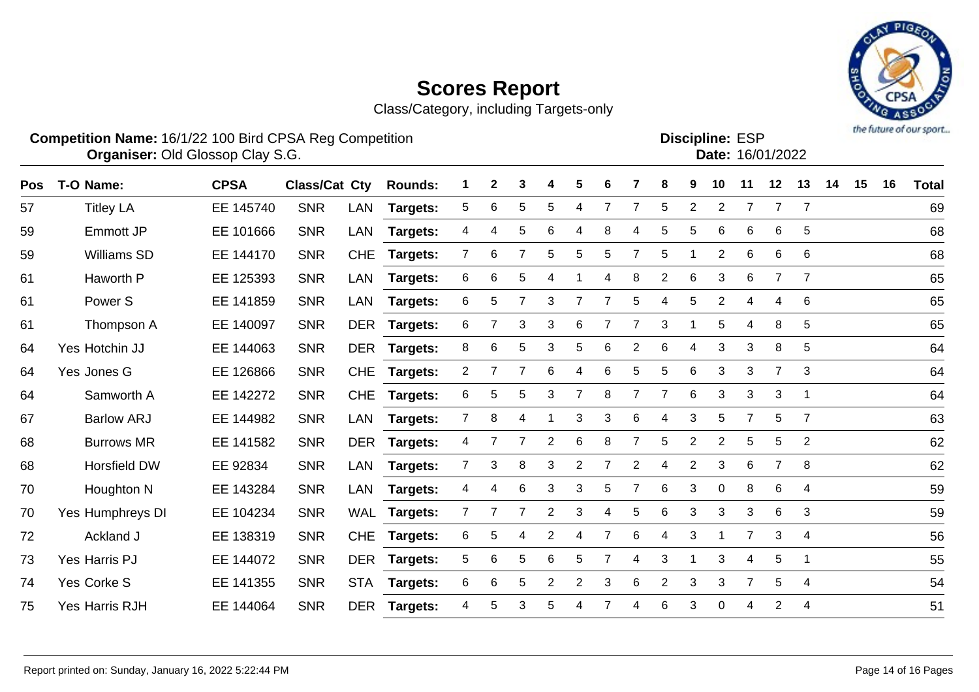Samworth A EE 142272 SNR CHE **Targets:** 6 5 5 3 7 8 7 7 6 3 3 3 1 64

Barlow ARJ EE 144982 SNR LAN **Targets:** 7 8 4 1 3 3 6 4 3 5 7 5 7 63

Burrows MR EE 141582 SNR DER **Targets:** 4 7 7 2 6 8 7 5 2 2 5 5 2 62

Horsfield DW EE 92834 SNR LAN **Targets:** 7 3 8 3 2 7 2 4 2 3 6 7 8 62

 Houghton N EE 143284 SNR LAN **Targets:** 4 4 6 3 3 5 7 6 3 0 8 6 4 59 Yes Humphreys DI EE 104234 SNR WAL **Targets:** 7 7 7 2 3 4 5 6 3 3 3 6 3 59

Ackland J EE 138319 SNR CHE **Targets:** 6 5 4 2 4 7 6 4 3 1 7 3 4 56

Yes Harris PJ EE 144072 SNR DER **Targets:** 5 6 5 6 5 7 4 3 1 3 4 5 1 55

Yes Corke S EE 141355 SNR STA **Targets:** 6 6 5 2 2 3 6 2 3 3 7 5 4 54

Yes Harris RJH EE 144064 SNR DER **Targets:** 4 5 3 5 4 7 4 6 3 0 4 2 4 51



|     | <b>Competition Name: 16/1/22 100 Bird CPSA Reg Competition</b><br><b>Organiser: Old Glossop Clay S.G.</b> |             |                      |            |                |   |              |    |              |    |   |    |   |    |                | <b>Discipline: ESP</b> | Date: 16/01/2022 |     |    |    |    | <b><i>P.O. LEAST A. A.I. A.R. MA.A.I.</i></b> |
|-----|-----------------------------------------------------------------------------------------------------------|-------------|----------------------|------------|----------------|---|--------------|----|--------------|----|---|----|---|----|----------------|------------------------|------------------|-----|----|----|----|-----------------------------------------------|
| Pos | T-O Name:                                                                                                 | <b>CPSA</b> | <b>Class/Cat Cty</b> |            | <b>Rounds:</b> |   | $\mathbf{2}$ | 3  | 4            | 5. | 6 |    | 8 | 9  | 10             | 11                     | 12               | 13  | 14 | 15 | 16 | <b>Total</b>                                  |
| 57  | <b>Titley LA</b>                                                                                          | EE 145740   | <b>SNR</b>           | LAN        | Targets:       | 5 | 6            | 5. | 5            | 4  |   |    | 5 | 2  | $\overline{2}$ |                        |                  |     |    |    |    | 69                                            |
| 59  | Emmott JP                                                                                                 | EE 101666   | <b>SNR</b>           | LAN        | Targets:       | 4 | 4            | 5. | 6            | 4  | 8 | 4  | 5 | 5  | 6              | 6                      | 6                | 5   |    |    |    | 68                                            |
| 59  | <b>Williams SD</b>                                                                                        | EE 144170   | <b>SNR</b>           | <b>CHE</b> | Targets:       |   | 6            |    | 5            | 5  | 5 |    | 5 |    | 2              | 6                      | 6                | - 6 |    |    |    | 68                                            |
| 61  | Haworth P                                                                                                 | EE 125393   | <b>SNR</b>           | LAN        | Targets:       | 6 | 6            | 5. | 4            |    | 4 | 8  | 2 | 6  | 3              | 6                      |                  |     |    |    |    | 65                                            |
| 61  | Power <sub>S</sub>                                                                                        | EE 141859   | <b>SNR</b>           | LAN        | Targets:       | 6 | 5            |    | 3            |    |   | 5. | 4 | 5. | $\overline{2}$ | 4                      | 4                | 6   |    |    |    | 65                                            |
| 61  | Thompson A                                                                                                | EE 140097   | <b>SNR</b>           | <b>DER</b> | Targets:       | 6 |              | 3  | 3            | 6  |   |    | 3 |    | 5              | 4                      | 8                | 5   |    |    |    | 65                                            |
| 64  | Yes Hotchin JJ                                                                                            | EE 144063   | <b>SNR</b>           | <b>DER</b> | Targets:       | 8 | 6            | 5  | $\mathbf{3}$ | 5  | 6 | 2  | 6 | 4  | 3              | 3                      | 8                | 5   |    |    |    | 64                                            |
| 64  | Yes Jones G                                                                                               | EE 126866   | <b>SNR</b>           | <b>CHE</b> | Targets:       |   |              |    | 6            | 4  | 6 | 5. | 5 | 6. | 3              | 3                      |                  | 3   |    |    |    | 64                                            |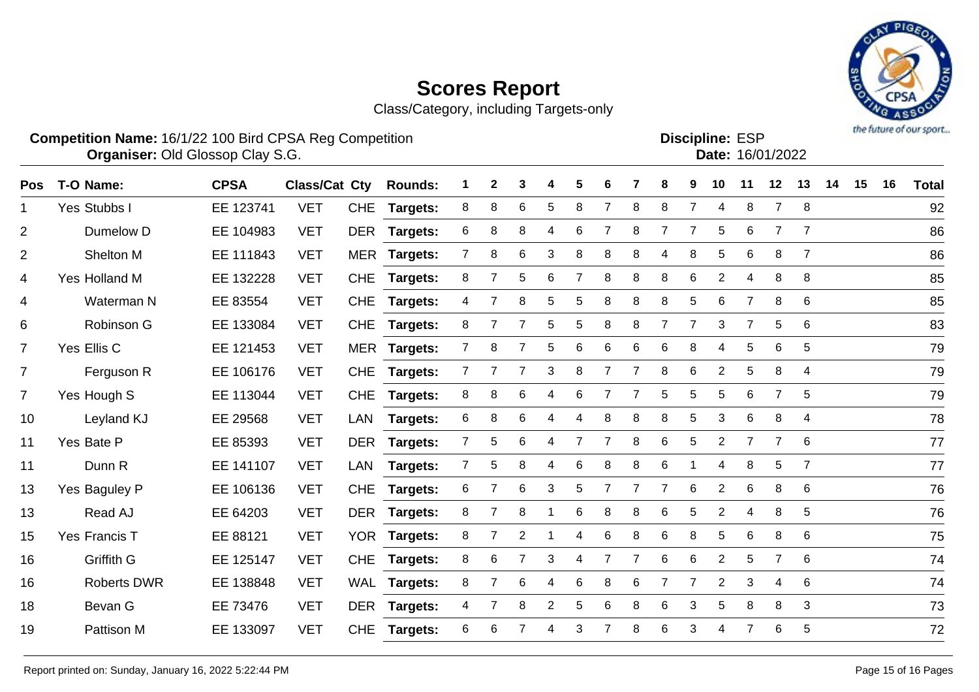Class/Category, including Targets-only



#### **Competition Name:** 16/1/22 100 Bird CPSA Reg Competition **EXP COMPETITION COMPETITION CONSTRUSTER ESP Organiser:** Old Glossop Clay S.G. 16/01/2022 Discipline: ESP<br>Date: 16/01/2022

| <b>Pos</b>     | T-O Name:          | <b>CPSA</b> | Class/Cat Cty |            | <b>Rounds:</b>  | 1              | $\mathbf{2}$   | 3               | 4              | 5              | 6              |                | 8              | 9              | 10              | 11             | 12              | 13             | 14 | 15 | 16 | <b>Total</b> |
|----------------|--------------------|-------------|---------------|------------|-----------------|----------------|----------------|-----------------|----------------|----------------|----------------|----------------|----------------|----------------|-----------------|----------------|-----------------|----------------|----|----|----|--------------|
| $\mathbf 1$    | Yes Stubbs I       | EE 123741   | <b>VET</b>    | <b>CHE</b> | Targets:        | 8              | 8              | 6               | 5              | 8              | $\overline{7}$ | 8              | 8              | $\overline{7}$ | 4               | 8              | $\overline{7}$  | 8              |    |    |    | 92           |
| $\overline{2}$ | Dumelow D          | EE 104983   | <b>VET</b>    | <b>DER</b> | <b>Targets:</b> | 6              | 8              | 8               | 4              | 6              | 7              | 8              | 7              | 7              | 5               | 6              | 7               | 7              |    |    |    | 86           |
| $\overline{2}$ | Shelton M          | EE 111843   | <b>VET</b>    |            | MER Targets:    | 7              | 8              | 6               | 3              | 8              | 8              | 8              | 4              | 8              | $5\phantom{.0}$ | 6              | 8               | $\overline{7}$ |    |    |    | 86           |
| 4              | Yes Holland M      | EE 132228   | <b>VET</b>    | <b>CHE</b> | <b>Targets:</b> | 8              | $\overline{7}$ | 5               | 6              | $\overline{7}$ | 8              | 8              | 8              | $\,6$          | $\overline{2}$  | 4              | 8               | 8              |    |    |    | 85           |
| 4              | Waterman N         | EE 83554    | <b>VET</b>    | <b>CHE</b> | <b>Targets:</b> | 4              |                | 8               | 5              | 5              | 8              | 8              | 8              | 5              | 6               | $\overline{7}$ | 8               | 6              |    |    |    | 85           |
| 6              | Robinson G         | EE 133084   | <b>VET</b>    | <b>CHE</b> | Targets:        | 8              |                | $\overline{7}$  | 5              | 5              | 8              | 8              | $\overline{7}$ | $\overline{7}$ | 3               | $\overline{7}$ | 5               | 6              |    |    |    | 83           |
| $\overline{7}$ | Yes Ellis C        | EE 121453   | <b>VET</b>    |            | MER Targets:    | 7              | 8              | $\overline{7}$  | 5              | 6              | 6              | 6              | 6              | 8              | 4               | 5              | $6\phantom{1}6$ | 5              |    |    |    | 79           |
| $\overline{7}$ | Ferguson R         | EE 106176   | <b>VET</b>    | <b>CHE</b> | <b>Targets:</b> | $\overline{7}$ | $\overline{7}$ | $\overline{7}$  | 3              | 8              | $\overline{7}$ | $\overline{7}$ | 8              | 6              | $\overline{2}$  | 5              | 8               | $\overline{4}$ |    |    |    | 79           |
| $\overline{7}$ | Yes Hough S        | EE 113044   | <b>VET</b>    | <b>CHE</b> | <b>Targets:</b> | 8              | 8              | 6               | 4              | 6              | 7              |                | 5              | 5              | 5               | 6              | $\overline{7}$  | 5              |    |    |    | 79           |
| 10             | Leyland KJ         | EE 29568    | <b>VET</b>    | LAN        | Targets:        | 6              | 8              | 6               | 4              | 4              | 8              | 8              | 8              | 5              | 3               | 6              | 8               | $\overline{4}$ |    |    |    | 78           |
| 11             | Yes Bate P         | EE 85393    | <b>VET</b>    |            | DER Targets:    | $\overline{7}$ | 5              | 6               | 4              | $\overline{7}$ | 7              | 8              | 6              | 5              | $\overline{2}$  | $\overline{7}$ | $\overline{7}$  | 6              |    |    |    | 77           |
| 11             | Dunn R             | EE 141107   | <b>VET</b>    | LAN        | <b>Targets:</b> | 7              | 5              | 8               | 4              | 6              | 8              | 8              | 6              |                | 4               | 8              | 5               | $\overline{7}$ |    |    |    | 77           |
| 13             | Yes Baguley P      | EE 106136   | <b>VET</b>    | <b>CHE</b> | Targets:        | 6              |                | 6               | 3              | 5              | 7              |                | $\overline{7}$ | $\,6$          | $\overline{2}$  | 6              | 8               | 6              |    |    |    | 76           |
| 13             | Read AJ            | EE 64203    | <b>VET</b>    |            | DER Targets:    | 8              | $\overline{7}$ | 8               |                | 6              | 8              | 8              | 6              | 5              | $\overline{2}$  | 4              | 8               | 5              |    |    |    | 76           |
| 15             | Yes Francis T      | EE 88121    | <b>VET</b>    |            | YOR Targets:    | 8              | $\overline{7}$ | $\overline{2}$  |                | 4              | 6              | 8              | 6              | 8              | 5               | 6              | 8               | 6              |    |    |    | 75           |
| 16             | Griffith G         | EE 125147   | <b>VET</b>    | <b>CHE</b> | <b>Targets:</b> | 8              | 6              | $\overline{7}$  | 3              | 4              | $\overline{7}$ | 7              | 6              | 6              | $\overline{2}$  | 5              | $\overline{7}$  | 6              |    |    |    | 74           |
| 16             | <b>Roberts DWR</b> | EE 138848   | <b>VET</b>    | WAL        | <b>Targets:</b> | 8              |                | $6\phantom{1}6$ | 4              | 6              | 8              | 6              | $\overline{7}$ | $\overline{7}$ | $\overline{2}$  | 3              | 4               | 6              |    |    |    | 74           |
| 18             | Bevan G            | EE 73476    | <b>VET</b>    |            | DER Targets:    | $\overline{4}$ | 7              | 8               | $\overline{2}$ | 5              | 6              | 8              | 6              | 3              | 5               | 8              | 8               | 3              |    |    |    | 73           |
| 19             | <b>Pattison M</b>  | EE 133097   | <b>VET</b>    | <b>CHE</b> | Targets:        | 6              | 6              |                 | 4              | 3              |                | 8              | 6              | 3              | 4               | $\overline{7}$ | 6               | 5              |    |    |    | 72           |